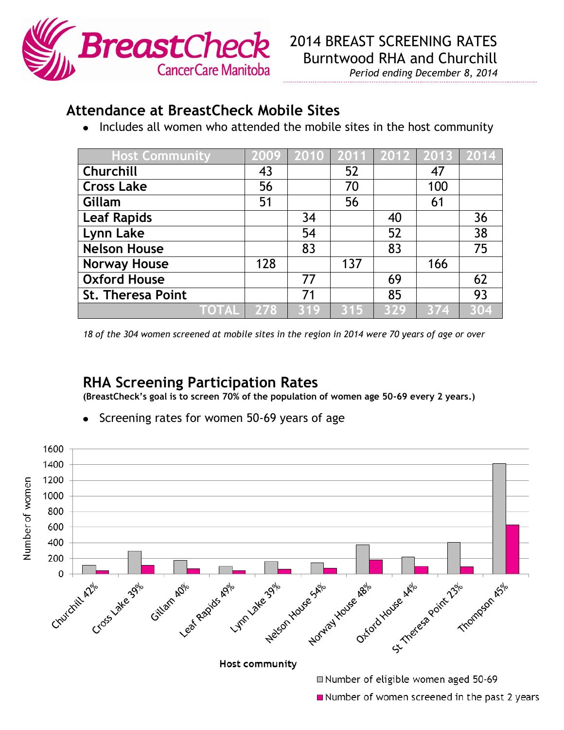

*Period ending December 8, 2014*

## **Attendance at BreastCheck Mobile Sites**

• Includes all women who attended the mobile sites in the host community

| <b>Host Community</b>    |                                      | 2009   2010   2011   2012   2013   2014 |     |     |     |     |
|--------------------------|--------------------------------------|-----------------------------------------|-----|-----|-----|-----|
| Churchill                | 43                                   |                                         | 52  |     | 47  |     |
| <b>Cross Lake</b>        | 56                                   |                                         | 70  |     | 100 |     |
| Gillam                   | 51                                   |                                         | 56  |     | 61  |     |
| <b>Leaf Rapids</b>       |                                      | 34                                      |     | 40  |     | 36  |
| Lynn Lake                |                                      | 54                                      |     | 52  |     | 38  |
| <b>Nelson House</b>      |                                      | 83                                      |     | 83  |     | 75  |
| <b>Norway House</b>      | 128                                  |                                         | 137 |     | 166 |     |
| <b>Oxford House</b>      |                                      | 77                                      |     | 69  |     | 62  |
| <b>St. Theresa Point</b> |                                      | 71                                      |     | 85  |     | 93  |
|                          | $\overline{\text{DTAL}}\text{--}278$ | 319                                     | 315 | 329 | 374 | 304 |

*18 of the 304 women screened at mobile sites in the region in 2014 were 70 years of age or over*

## **RHA Screening Participation Rates**

**(BreastCheck's goal is to screen 70% of the population of women age 50-69 every 2 years.)**

Screening rates for women 50-69 years of age